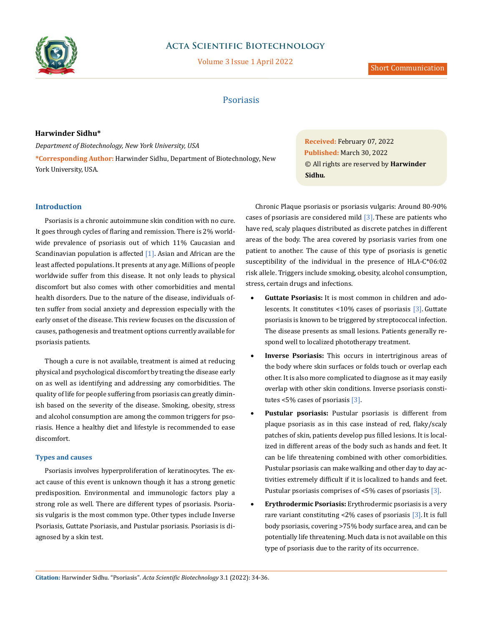

# **Acta Scientific Biotechnology**

Volume 3 Issue 1 April 2022

## Psoriasis

## **Harwinder Sidhu\***

*Department of Biotechnology, New York University, USA* **\*Corresponding Author:** Harwinder Sidhu, Department of Biotechnology, New York University, USA.

### **Introduction**

Psoriasis is a chronic autoimmune skin condition with no cure. It goes through cycles of flaring and remission. There is 2% worldwide prevalence of psoriasis out of which 11% Caucasian and Scandinavian population is affected  $[1]$ . Asian and African are the least affected populations. It presents at any age. Millions of people worldwide suffer from this disease. It not only leads to physical discomfort but also comes with other comorbidities and mental health disorders. Due to the nature of the disease, individuals often suffer from social anxiety and depression especially with the early onset of the disease. This review focuses on the discussion of causes, pathogenesis and treatment options currently available for psoriasis patients.

Though a cure is not available, treatment is aimed at reducing physical and psychological discomfort by treating the disease early on as well as identifying and addressing any comorbidities. The quality of life for people suffering from psoriasis can greatly diminish based on the severity of the disease. Smoking, obesity, stress and alcohol consumption are among the common triggers for psoriasis. Hence a healthy diet and lifestyle is recommended to ease discomfort.

#### **Types and causes**

Psoriasis involves hyperproliferation of keratinocytes. The exact cause of this event is unknown though it has a strong genetic predisposition. Environmental and immunologic factors play a strong role as well. There are different types of psoriasis. Psoriasis vulgaris is the most common type. Other types include Inverse Psoriasis, Guttate Psoriasis, and Pustular psoriasis. Psoriasis is diagnosed by a skin test.

**Received:** February 07, 2022 **Published:** March 30, 2022 © All rights are reserved by **Harwinder Sidhu***.* 

Chronic Plaque psoriasis or psoriasis vulgaris: Around 80-90% cases of psoriasis are considered mild  $[3]$ . These are patients who have red, scaly plaques distributed as discrete patches in different areas of the body. The area covered by psoriasis varies from one patient to another. The cause of this type of psoriasis is genetic susceptibility of the individual in the presence of HLA-C\*06:02 risk allele. Triggers include smoking, obesity, alcohol consumption, stress, certain drugs and infections.

- **Guttate Psoriasis:** It is most common in children and adolescents. It constitutes <10% cases of psoriasis [3]. Guttate psoriasis is known to be triggered by streptococcal infection. The disease presents as small lesions. Patients generally respond well to localized phototherapy treatment.
- **Inverse Psoriasis:** This occurs in intertriginous areas of the body where skin surfaces or folds touch or overlap each other. It is also more complicated to diagnose as it may easily overlap with other skin conditions. Inverse psoriasis constitutes <5% cases of psoriasis [3].
- **Pustular psoriasis:** Pustular psoriasis is different from plaque psoriasis as in this case instead of red, flaky/scaly patches of skin, patients develop pus filled lesions. It is localized in different areas of the body such as hands and feet. It can be life threatening combined with other comorbidities. Pustular psoriasis can make walking and other day to day activities extremely difficult if it is localized to hands and feet. Pustular psoriasis comprises of <5% cases of psoriasis [3].
- **Erythrodermic Psoriasis:** Erythrodermic psoriasis is a very rare variant constituting <2% cases of psoriasis [3].It is full body psoriasis, covering >75% body surface area, and can be potentially life threatening. Much data is not available on this type of psoriasis due to the rarity of its occurrence.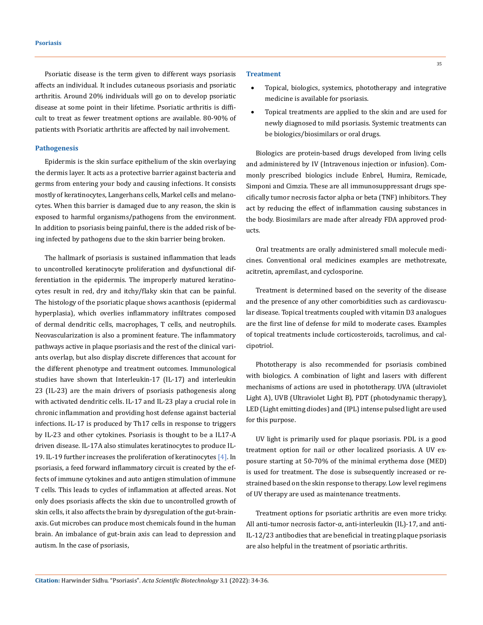Psoriatic disease is the term given to different ways psoriasis affects an individual. It includes cutaneous psoriasis and psoriatic arthritis. Around 20% individuals will go on to develop psoriatic disease at some point in their lifetime. Psoriatic arthritis is difficult to treat as fewer treatment options are available. 80-90% of patients with Psoriatic arthritis are affected by nail involvement.

#### **Pathogenesis**

Epidermis is the skin surface epithelium of the skin overlaying the dermis layer. It acts as a protective barrier against bacteria and germs from entering your body and causing infections. It consists mostly of keratinocytes, Langerhans cells, Markel cells and melanocytes. When this barrier is damaged due to any reason, the skin is exposed to harmful organisms/pathogens from the environment. In addition to psoriasis being painful, there is the added risk of being infected by pathogens due to the skin barrier being broken.

The hallmark of psoriasis is sustained inflammation that leads to uncontrolled keratinocyte proliferation and dysfunctional differentiation in the epidermis. The improperly matured keratinocytes result in red, dry and itchy/flaky skin that can be painful. The histology of the psoriatic plaque shows acanthosis (epidermal hyperplasia), which overlies inflammatory infiltrates composed of dermal dendritic cells, macrophages, T cells, and neutrophils. Neovascularization is also a prominent feature. The inflammatory pathways active in plaque psoriasis and the rest of the clinical variants overlap, but also display discrete differences that account for the different phenotype and treatment outcomes. Immunological studies have shown that Interleukin-17 (IL-17) and interleukin 23 (IL-23) are the main drivers of psoriasis pathogenesis along with activated dendritic cells. IL-17 and IL-23 play a crucial role in chronic inflammation and providing host defense against bacterial infections. IL-17 is produced by Th17 cells in response to triggers by IL-23 and other cytokines. Psoriasis is thought to be a IL17-A driven disease. IL-17A also stimulates keratinocytes to produce IL-19. IL-19 further increases the proliferation of keratinocytes [4]. In psoriasis, a feed forward inflammatory circuit is created by the effects of immune cytokines and auto antigen stimulation of immune T cells. This leads to cycles of inflammation at affected areas. Not only does psoriasis affects the skin due to uncontrolled growth of skin cells, it also affects the brain by dysregulation of the gut-brainaxis. Gut microbes can produce most chemicals found in the human brain. An imbalance of gut-brain axis can lead to depression and autism. In the case of psoriasis,

#### **Treatment**

- Topical, biologics, systemics, phototherapy and integrative medicine is available for psoriasis.
- Topical treatments are applied to the skin and are used for newly diagnosed to mild psoriasis. Systemic treatments can be biologics/biosimilars or oral drugs.

Biologics are protein-based drugs developed from living cells and administered by IV (Intravenous injection or infusion). Commonly prescribed biologics include Enbrel, Humira, Remicade, Simponi and Cimzia. These are all immunosuppressant drugs specifically tumor necrosis factor alpha or beta (TNF) inhibitors. They act by reducing the effect of inflammation causing substances in the body. Biosimilars are made after already FDA approved products.

Oral treatments are orally administered small molecule medicines. Conventional oral medicines examples are methotrexate, acitretin, apremilast, and cyclosporine.

Treatment is determined based on the severity of the disease and the presence of any other comorbidities such as cardiovascular disease. Topical treatments coupled with vitamin D3 analogues are the first line of defense for mild to moderate cases. Examples of topical treatments include corticosteroids, tacrolimus, and calcipotriol.

Phototherapy is also recommended for psoriasis combined with biologics. A combination of light and lasers with different mechanisms of actions are used in phototherapy. UVA (ultraviolet Light A), UVB (Ultraviolet Light B), PDT (photodynamic therapy), LED (Light emitting diodes) and (IPL) intense pulsed light are used for this purpose.

UV light is primarily used for plaque psoriasis. PDL is a good treatment option for nail or other localized psoriasis. A UV exposure starting at 50-70% of the minimal erythema dose (MED) is used for treatment. The dose is subsequently increased or restrained based on the skin response to therapy. Low level regimens of UV therapy are used as maintenance treatments.

Treatment options for psoriatic arthritis are even more tricky. All anti-tumor necrosis factor-α, anti-interleukin (IL)-17, and anti-IL-12/23 antibodies that are beneficial in treating plaque psoriasis are also helpful in the treatment of psoriatic arthritis.